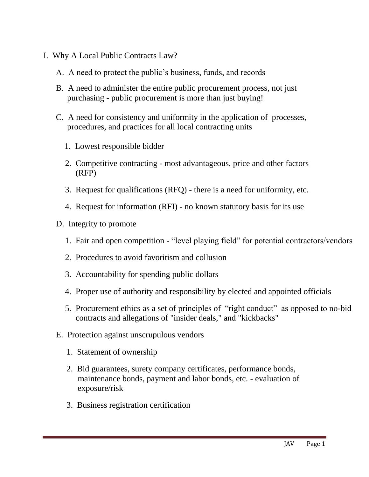- I. Why A Local Public Contracts Law?
	- A. A need to protect the public's business, funds, and records
	- B. A need to administer the entire public procurement process, not just purchasing - public procurement is more than just buying!
	- C. A need for consistency and uniformity in the application of processes, procedures, and practices for all local contracting units
		- 1. Lowest responsible bidder
		- 2. Competitive contracting most advantageous, price and other factors (RFP)
		- 3. Request for qualifications (RFQ) there is a need for uniformity, etc.
		- 4. Request for information (RFI) no known statutory basis for its use
	- D. Integrity to promote
		- 1. Fair and open competition "level playing field" for potential contractors/vendors
		- 2. Procedures to avoid favoritism and collusion
		- 3. Accountability for spending public dollars
		- 4. Proper use of authority and responsibility by elected and appointed officials
		- 5. Procurement ethics as a set of principles of "right conduct" as opposed to no-bid contracts and allegations of "insider deals," and "kickbacks"
	- E. Protection against unscrupulous vendors
		- 1. Statement of ownership
		- 2. Bid guarantees, surety company certificates, performance bonds, maintenance bonds, payment and labor bonds, etc. - evaluation of exposure/risk
		- 3. Business registration certification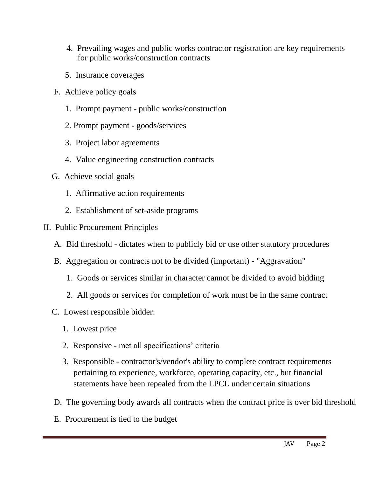- 4. Prevailing wages and public works contractor registration are key requirements for public works/construction contracts
- 5. Insurance coverages
- F. Achieve policy goals
	- 1. Prompt payment public works/construction
	- 2. Prompt payment goods/services
	- 3. Project labor agreements
	- 4. Value engineering construction contracts
- G. Achieve social goals
	- 1. Affirmative action requirements
	- 2. Establishment of set-aside programs
- II. Public Procurement Principles
	- A. Bid threshold dictates when to publicly bid or use other statutory procedures
	- B. Aggregation or contracts not to be divided (important) "Aggravation"
		- 1. Goods or services similar in character cannot be divided to avoid bidding
		- 2. All goods or services for completion of work must be in the same contract
	- C. Lowest responsible bidder:
		- 1. Lowest price
		- 2. Responsive met all specifications' criteria
		- 3. Responsible contractor's/vendor's ability to complete contract requirements pertaining to experience, workforce, operating capacity, etc., but financial statements have been repealed from the LPCL under certain situations
	- D. The governing body awards all contracts when the contract price is over bid threshold
	- E. Procurement is tied to the budget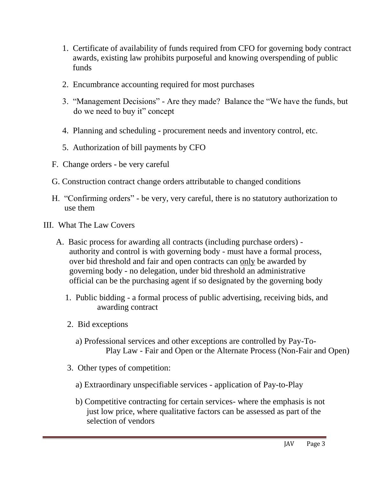- 1. Certificate of availability of funds required from CFO for governing body contract awards, existing law prohibits purposeful and knowing overspending of public funds
- 2. Encumbrance accounting required for most purchases
- 3. "Management Decisions" Are they made? Balance the "We have the funds, but do we need to buy it" concept
- 4. Planning and scheduling procurement needs and inventory control, etc.
- 5. Authorization of bill payments by CFO
- F. Change orders be very careful
- G. Construction contract change orders attributable to changed conditions
- H. "Confirming orders" be very, very careful, there is no statutory authorization to use them
- III. What The Law Covers
	- A. Basic process for awarding all contracts (including purchase orders) authority and control is with governing body - must have a formal process, over bid threshold and fair and open contracts can only be awarded by governing body - no delegation, under bid threshold an administrative official can be the purchasing agent if so designated by the governing body
		- 1. Public bidding a formal process of public advertising, receiving bids, and awarding contract
		- 2. Bid exceptions
			- a) Professional services and other exceptions are controlled by Pay-To- Play Law - Fair and Open or the Alternate Process (Non-Fair and Open)
		- 3. Other types of competition:
			- a) Extraordinary unspecifiable services application of Pay-to-Play
			- b) Competitive contracting for certain services- where the emphasis is not just low price, where qualitative factors can be assessed as part of the selection of vendors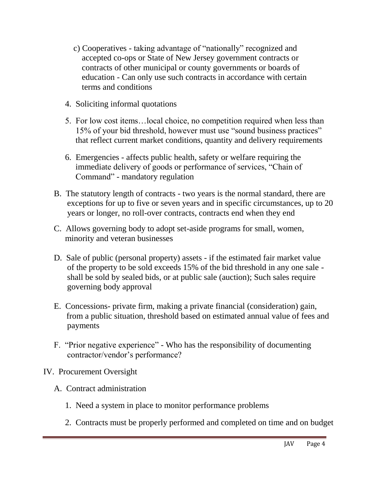- c) Cooperatives taking advantage of "nationally" recognized and accepted co-ops or State of New Jersey government contracts or contracts of other municipal or county governments or boards of education - Can only use such contracts in accordance with certain terms and conditions
- 4. Soliciting informal quotations
- 5. For low cost items…local choice, no competition required when less than 15% of your bid threshold, however must use "sound business practices" that reflect current market conditions, quantity and delivery requirements
- 6. Emergencies affects public health, safety or welfare requiring the immediate delivery of goods or performance of services, "Chain of Command" - mandatory regulation
- B. The statutory length of contracts two years is the normal standard, there are exceptions for up to five or seven years and in specific circumstances, up to 20 years or longer, no roll-over contracts, contracts end when they end
- C. Allows governing body to adopt set-aside programs for small, women, minority and veteran businesses
- D. Sale of public (personal property) assets if the estimated fair market value of the property to be sold exceeds 15% of the bid threshold in any one sale shall be sold by sealed bids, or at public sale (auction); Such sales require governing body approval
- E. Concessions- private firm, making a private financial (consideration) gain, from a public situation, threshold based on estimated annual value of fees and payments
- F. "Prior negative experience" Who has the responsibility of documenting contractor/vendor's performance?

## IV. Procurement Oversight

- A. Contract administration
	- 1. Need a system in place to monitor performance problems
	- 2. Contracts must be properly performed and completed on time and on budget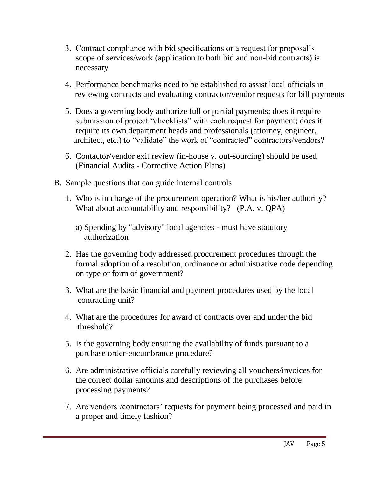- 3. Contract compliance with bid specifications or a request for proposal's scope of services/work (application to both bid and non-bid contracts) is necessary
- 4. Performance benchmarks need to be established to assist local officials in reviewing contracts and evaluating contractor/vendor requests for bill payments
- 5. Does a governing body authorize full or partial payments; does it require submission of project "checklists" with each request for payment; does it require its own department heads and professionals (attorney, engineer, architect, etc.) to "validate" the work of "contracted" contractors/vendors?
- 6. Contactor/vendor exit review (in-house v. out-sourcing) should be used (Financial Audits - Corrective Action Plans)
- B. Sample questions that can guide internal controls
	- 1. Who is in charge of the procurement operation? What is his/her authority? What about accountability and responsibility? (P.A. v. QPA)
		- a) Spending by "advisory" local agencies must have statutory authorization
	- 2. Has the governing body addressed procurement procedures through the formal adoption of a resolution, ordinance or administrative code depending on type or form of government?
	- 3. What are the basic financial and payment procedures used by the local contracting unit?
	- 4. What are the procedures for award of contracts over and under the bid threshold?
	- 5. Is the governing body ensuring the availability of funds pursuant to a purchase order-encumbrance procedure?
	- 6. Are administrative officials carefully reviewing all vouchers/invoices for the correct dollar amounts and descriptions of the purchases before processing payments?
	- 7. Are vendors'/contractors' requests for payment being processed and paid in a proper and timely fashion?